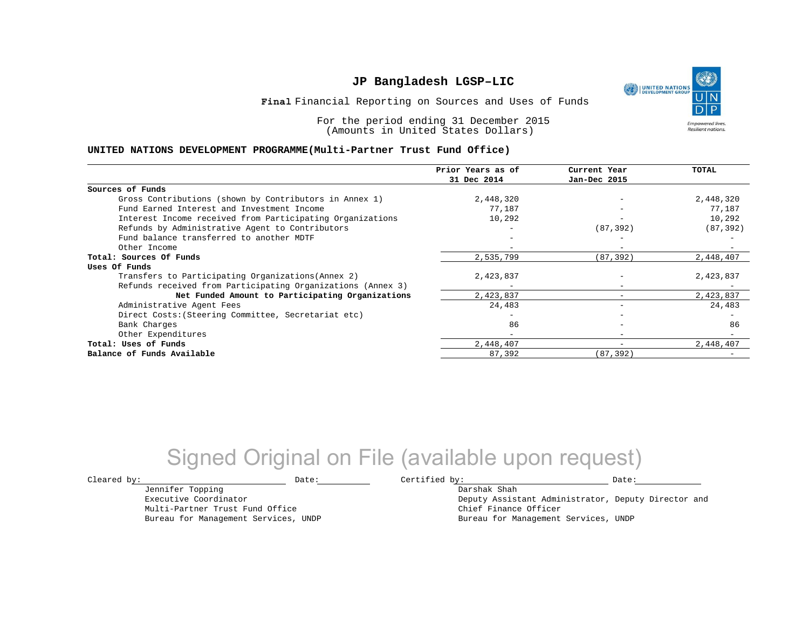UNITED NATIONS

**Empowered lives Resilient nations.** 

Financial Reporting on Sources and Uses of Funds **Final**

For the period ending 31 December 2015 (Amounts in United States Dollars)

#### **UNITED NATIONS DEVELOPMENT PROGRAMME(Multi-Partner Trust Fund Office)**

|                                                             | Prior Years as of<br>31 Dec 2014 | Current Year<br>Jan-Dec 2015 | TOTAL     |
|-------------------------------------------------------------|----------------------------------|------------------------------|-----------|
|                                                             |                                  |                              |           |
| Sources of Funds                                            |                                  |                              |           |
| Gross Contributions (shown by Contributors in Annex 1)      | 2,448,320                        |                              | 2,448,320 |
| Fund Earned Interest and Investment Income                  | 77.187                           |                              | 77,187    |
| Interest Income received from Participating Organizations   | 10,292                           |                              | 10,292    |
| Refunds by Administrative Agent to Contributors             |                                  | (87, 392)                    | (87, 392) |
| Fund balance transferred to another MDTF                    |                                  |                              |           |
| Other Income                                                |                                  | $-$                          |           |
| Total: Sources Of Funds                                     | 2,535,799                        | (87, 392)                    | 2,448,407 |
| Uses Of Funds                                               |                                  |                              |           |
| Transfers to Participating Organizations (Annex 2)          | 2,423,837                        |                              | 2,423,837 |
| Refunds received from Participating Organizations (Annex 3) |                                  | $\overline{\phantom{0}}$     |           |
| Net Funded Amount to Participating Organizations            | 2,423,837                        |                              | 2,423,837 |
| Administrative Agent Fees                                   | 24,483                           | -                            | 24,483    |
| Direct Costs: (Steering Committee, Secretariat etc)         |                                  |                              |           |
| Bank Charges                                                | 86                               |                              | 86        |
| Other Expenditures                                          | -                                | $\qquad \qquad \blacksquare$ |           |
| Total: Uses of Funds                                        | 2,448,407                        | $\overline{\phantom{0}}$     | 2,448,407 |
| Balance of Funds Available                                  | 87,392                           | (87,392)                     |           |

## Signed Original on File (available upon request)

Jennifer Topping

Multi-Partner Trust Fund Office Bureau for Management Services, UNDP

Executive Coordinator

 $\texttt{Cleared by:}\footnotesize \begin{minipage}{14pt} \begin{tabular}{p{0.87\textwidth}p{0.87\textwidth}} \centering \end{tabular} \end{minipage}$ 

Darshak Shah Deputy Assistant Administrator, Deputy Director and Chief Finance Officer Bureau for Management Services, UNDP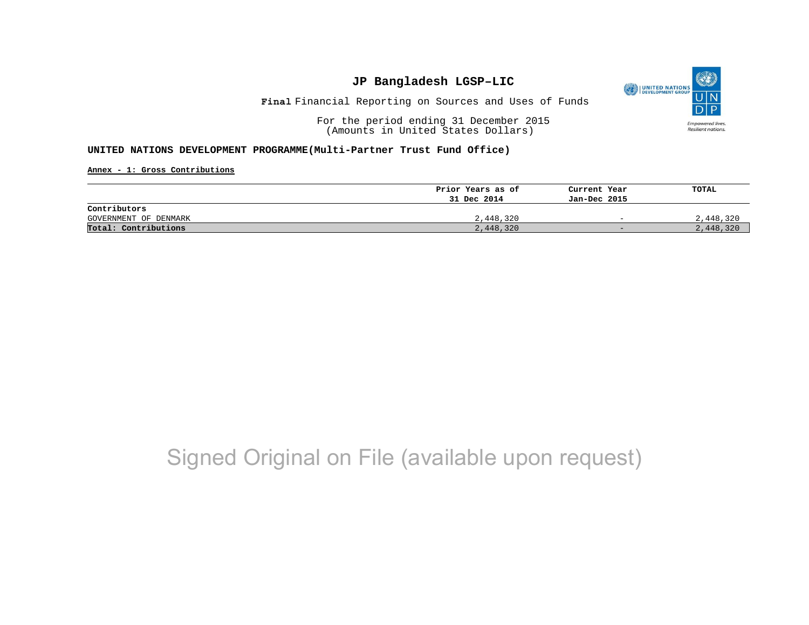

Financial Reporting on Sources and Uses of Funds **Final**

For the period ending 31 December 2015 (Amounts in United States Dollars)

#### **UNITED NATIONS DEVELOPMENT PROGRAMME(Multi-Partner Trust Fund Office)**

**Annex - 1: Gross Contributions**

|                       | Prior Years as of | Current Year             | TOTAL     |
|-----------------------|-------------------|--------------------------|-----------|
|                       | 31 Dec 2014       | Jan-Dec 2015             |           |
| Contributors          |                   |                          |           |
| GOVERNMENT OF DENMARK | 2,448,320         | $\overline{\phantom{0}}$ | 2,448,320 |
| Total: Contributions  | 2,448,320         | $-$                      | 2,448,320 |

## Signed Original on File (available upon request)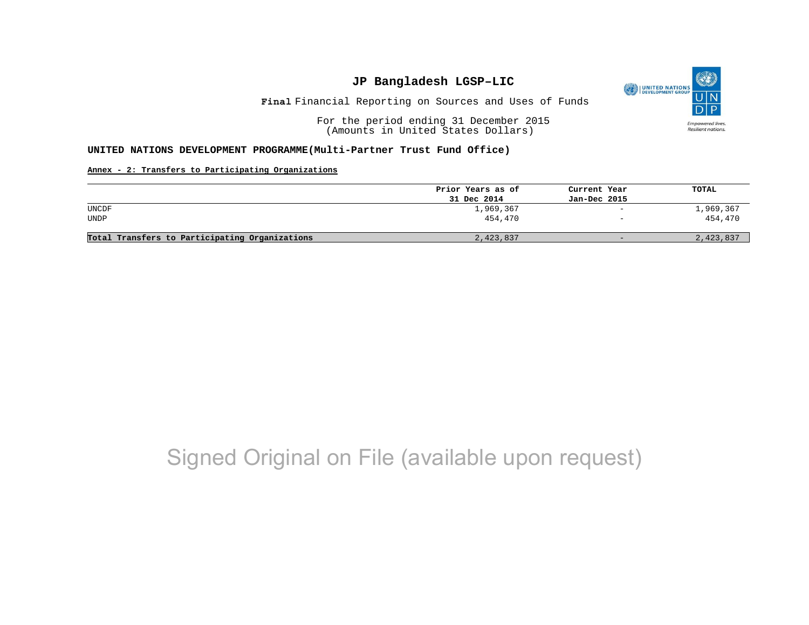

Financial Reporting on Sources and Uses of Funds **Final**

For the period ending 31 December 2015 (Amounts in United States Dollars)

#### **UNITED NATIONS DEVELOPMENT PROGRAMME(Multi-Partner Trust Fund Office)**

#### **Annex - 2: Transfers to Participating Organizations**

|                                                | Prior Years as of | Current Year             | TOTAL     |
|------------------------------------------------|-------------------|--------------------------|-----------|
|                                                | 31 Dec 2014       | Jan-Dec 2015             |           |
| UNCDF                                          | 1,969,367         | $\overline{\phantom{a}}$ | 1,969,367 |
| <b>UNDP</b>                                    | 454.470           | $\overline{\phantom{m}}$ | 454,470   |
| Total Transfers to Participating Organizations | 2,423,837         | $-$                      | 2,423,837 |

## Signed Original on File (available upon request)